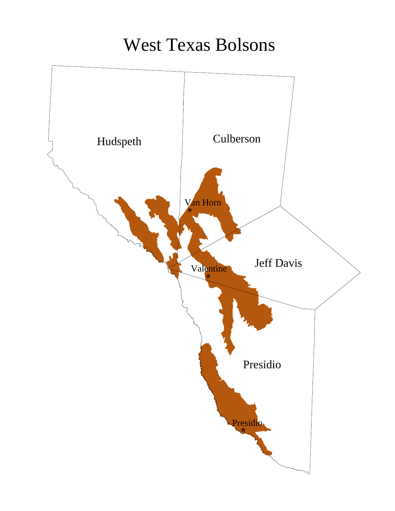## West Texas Bolsons